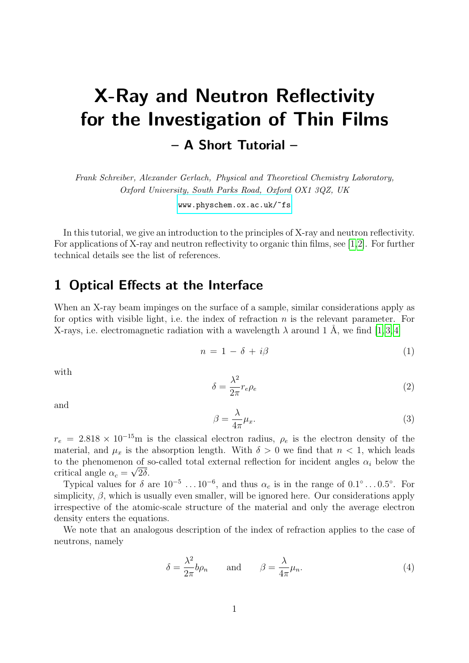# X-Ray and Neutron Reflectivity for the Investigation of Thin Films – A Short Tutorial –

Frank Schreiber, Alexander Gerlach, Physical and Theoretical Chemistry Laboratory, Oxford University, South Parks Road, Oxford OX1 3QZ, UK

[www.physchem.ox.ac.uk/~fs](http://www.physchem.ox.ac.uk/~fs)

In this tutorial, we give an introduction to the principles of X-ray and neutron reflectivity. For applications of X-ray and neutron reflectivity to organic thin films, see [\[1,](#page-7-0)[2\]](#page-7-1). For further technical details see the list of references.

## 1 Optical Effects at the Interface

When an X-ray beam impinges on the surface of a sample, similar considerations apply as for optics with visible light, i.e. the index of refraction  $n$  is the relevant parameter. For X-rays, i.e. electromagnetic radiation with a wavelength  $\lambda$  around 1 Å, we find [\[1,](#page-7-0)3,4]

$$
n = 1 - \delta + i\beta \tag{1}
$$

with

 $\delta =$  $\lambda^2$  $\frac{\partial}{\partial x}r_e\rho_e$  (2)

and

$$
\beta = \frac{\lambda}{4\pi} \mu_x. \tag{3}
$$

 $r_e = 2.818 \times 10^{-15}$ m is the classical electron radius,  $\rho_e$  is the electron density of the material, and  $\mu_x$  is the absorption length. With  $\delta > 0$  we find that  $n < 1$ , which leads to the phenomenon of so-called total external reflection for incident angles  $\alpha_i$  below the critical angle  $\alpha_c = \sqrt{2\delta}$ .

Typical values for  $\delta$  are  $10^{-5}$  ...  $10^{-6}$ , and thus  $\alpha_c$  is in the range of  $0.1^{\circ}$  ...  $0.5^{\circ}$ . For simplicity,  $\beta$ , which is usually even smaller, will be ignored here. Our considerations apply irrespective of the atomic-scale structure of the material and only the average electron density enters the equations.

We note that an analogous description of the index of refraction applies to the case of neutrons, namely

$$
\delta = \frac{\lambda^2}{2\pi} b \rho_n \quad \text{and} \quad \beta = \frac{\lambda}{4\pi} \mu_n. \tag{4}
$$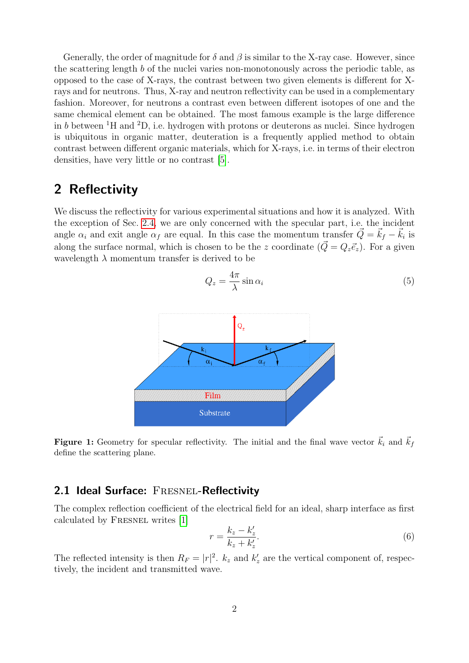Generally, the order of magnitude for  $\delta$  and  $\beta$  is similar to the X-ray case. However, since the scattering length b of the nuclei varies non-monotonously across the periodic table, as opposed to the case of X-rays, the contrast between two given elements is different for Xrays and for neutrons. Thus, X-ray and neutron reflectivity can be used in a complementary fashion. Moreover, for neutrons a contrast even between different isotopes of one and the same chemical element can be obtained. The most famous example is the large difference in b between  ${}^{1}H$  and  ${}^{2}D$ , i.e. hydrogen with protons or deuterons as nuclei. Since hydrogen is ubiquitous in organic matter, deuteration is a frequently applied method to obtain contrast between different organic materials, which for X-rays, i.e. in terms of their electron densities, have very little or no contrast [\[5\]](#page-8-1).

# 2 Reflectivity

We discuss the reflectivity for various experimental situations and how it is analyzed. With the exception of Sec. [2.4,](#page-4-0) we are only concerned with the specular part, i.e. the incident angle  $\alpha_i$  and exit angle  $\alpha_f$  are equal. In this case the momentum transfer  $\vec{Q} = \vec{k}_f - \vec{k}_i$  is along the surface normal, which is chosen to be the z coordinate  $(\vec{Q} = Q_z \vec{e}_z)$ . For a given wavelength  $\lambda$  momentum transfer is derived to be





**Figure 1:** Geometry for specular reflectivity. The initial and the final wave vector  $\vec{k}_i$  and  $\vec{k}_f$ define the scattering plane.

#### 2.1 Ideal Surface: FRESNEL-Reflectivity

The complex reflection coefficient of the electrical field for an ideal, sharp interface as first calculated by Fresnel writes [\[1\]](#page-7-0)

$$
r = \frac{k_z - k'_z}{k_z + k'_z}.\tag{6}
$$

The reflected intensity is then  $R_F = |r|^2$ .  $k_z$  and  $k'_z$  are the vertical component of, respectively, the incident and transmitted wave.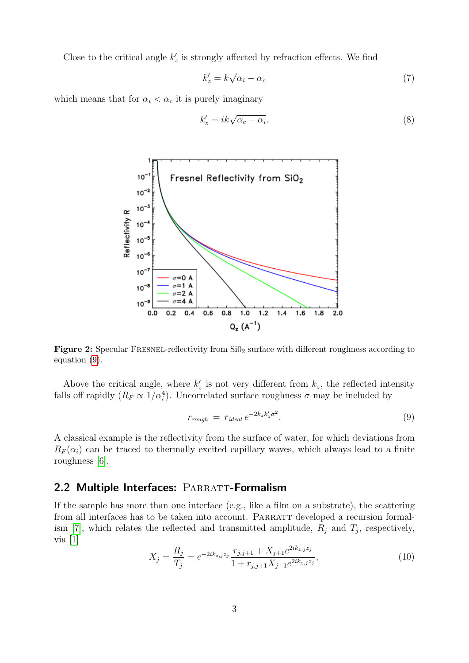Close to the critical angle  $k'_z$  is strongly affected by refraction effects. We find

$$
k'_z = k\sqrt{\alpha_i - \alpha_c} \tag{7}
$$

which means that for  $\alpha_i < \alpha_c$  it is purely imaginary

$$
k'_z = ik\sqrt{\alpha_c - \alpha_i}.\tag{8}
$$



Figure 2: Specular FRESNEL-reflectivity from SiO<sub>2</sub> surface with different roughness according to equation [\(9\)](#page-2-0).

Above the critical angle, where  $k'_z$  is not very different from  $k_z$ , the reflected intensity falls off rapidly  $(R_F \propto 1/\alpha_i^4)$ . Uncorrelated surface roughness  $\sigma$  may be included by

<span id="page-2-0"></span>
$$
r_{rough} = r_{ideal} e^{-2k_z k_z' \sigma^2}.
$$
\n(9)

A classical example is the reflectivity from the surface of water, for which deviations from  $R_F(\alpha_i)$  can be traced to thermally excited capillary waves, which always lead to a finite roughness [\[6\]](#page-8-2).

#### 2.2 Multiple Interfaces: PARRATT-Formalism

If the sample has more than one interface (e.g., like a film on a substrate), the scattering from all interfaces has to be taken into account. PARRATT developed a recursion formal-ism [\[7\]](#page-8-3), which relates the reflected and transmitted amplitude,  $R_j$  and  $T_j$ , respectively, via [\[1\]](#page-7-0)

$$
X_j = \frac{R_j}{T_j} = e^{-2ik_{z,j}z_j} \frac{r_{j,j+1} + X_{j+1}e^{2ik_{z,j}z_j}}{1 + r_{j,j+1}X_{j+1}e^{2ik_{z,j}z_j}},\tag{10}
$$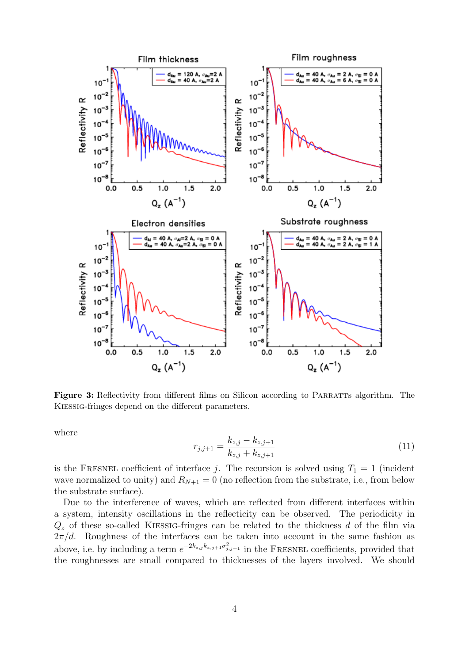

Figure 3: Reflectivity from different films on Silicon according to PARRATTS algorithm. The Kiessig-fringes depend on the different parameters.

where

$$
r_{j,j+1} = \frac{k_{z,j} - k_{z,j+1}}{k_{z,j} + k_{z,j+1}}
$$
\n(11)

is the FRESNEL coefficient of interface j. The recursion is solved using  $T_1 = 1$  (incident wave normalized to unity) and  $R_{N+1} = 0$  (no reflection from the substrate, i.e., from below the substrate surface).

Due to the interference of waves, which are reflected from different interfaces within a system, intensity oscillations in the reflecticity can be observed. The periodicity in  $Q<sub>z</sub>$  of these so-called KIESSIG-fringes can be related to the thickness d of the film via  $2\pi/d$ . Roughness of the interfaces can be taken into account in the same fashion as above, i.e. by including a term  $e^{-2k_{z,j}k_{z,j+1}\sigma_{j,j+1}^2}$  in the FRESNEL coefficients, provided that the roughnesses are small compared to thicknesses of the layers involved. We should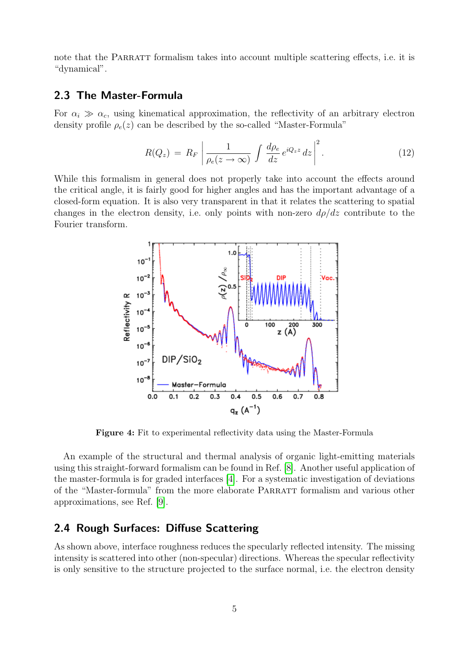note that the PARRATT formalism takes into account multiple scattering effects, i.e. it is "dynamical".

#### 2.3 The Master-Formula

For  $\alpha_i \gg \alpha_c$ , using kinematical approximation, the reflectivity of an arbitrary electron density profile  $\rho_e(z)$  can be described by the so-called "Master-Formula"

$$
R(Q_z) = R_F \left| \frac{1}{\rho_e(z \to \infty)} \int \frac{d\rho_e}{dz} e^{iQ_z z} dz \right|^2.
$$
 (12)

While this formalism in general does not properly take into account the effects around the critical angle, it is fairly good for higher angles and has the important advantage of a closed-form equation. It is also very transparent in that it relates the scattering to spatial changes in the electron density, i.e. only points with non-zero  $d\rho/dz$  contribute to the Fourier transform.



Figure 4: Fit to experimental reflectivity data using the Master-Formula

An example of the structural and thermal analysis of organic light-emitting materials using this straight-forward formalism can be found in Ref. [\[8\]](#page-8-4). Another useful application of the master-formula is for graded interfaces [\[4\]](#page-8-0). For a systematic investigation of deviations of the "Master-formula" from the more elaborate PARRATT formalism and various other approximations, see Ref. [\[9\]](#page-8-5).

#### <span id="page-4-0"></span>2.4 Rough Surfaces: Diffuse Scattering

As shown above, interface roughness reduces the specularly reflected intensity. The missing intensity is scattered into other (non-specular) directions. Whereas the specular reflectivity is only sensitive to the structure projected to the surface normal, i.e. the electron density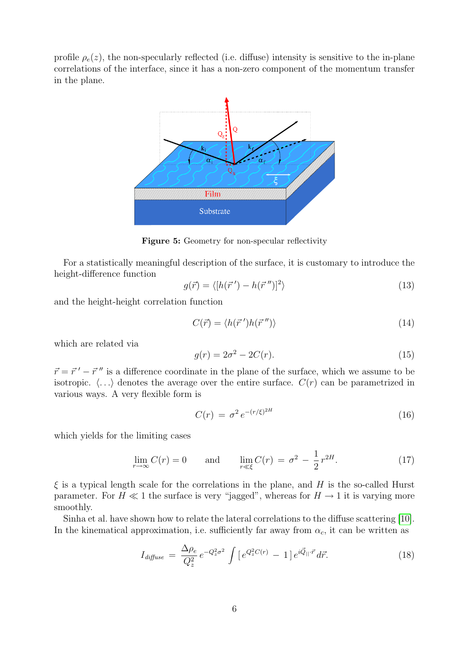profile  $\rho_e(z)$ , the non-specularly reflected (i.e. diffuse) intensity is sensitive to the in-plane correlations of the interface, since it has a non-zero component of the momentum transfer in the plane.



Figure 5: Geometry for non-specular reflectivity

For a statistically meaningful description of the surface, it is customary to introduce the height-difference function

$$
g(\vec{r}) = \langle [h(\vec{r}') - h(\vec{r}'')]^2 \rangle \tag{13}
$$

and the height-height correlation function

$$
C(\vec{r}) = \langle h(\vec{r}')h(\vec{r}'')\rangle \tag{14}
$$

which are related via

$$
g(r) = 2\sigma^2 - 2C(r). \tag{15}
$$

 $\vec{r} = \vec{r}' - \vec{r}''$  is a difference coordinate in the plane of the surface, which we assume to be isotropic.  $\langle \ldots \rangle$  denotes the average over the entire surface.  $C(r)$  can be parametrized in various ways. A very flexible form is

$$
C(r) = \sigma^2 e^{-(r/\xi)^{2H}} \tag{16}
$$

which yields for the limiting cases

$$
\lim_{r \to \infty} C(r) = 0 \quad \text{and} \quad \lim_{r \ll \xi} C(r) = \sigma^2 - \frac{1}{2} r^{2H}.
$$
 (17)

 $\xi$  is a typical length scale for the correlations in the plane, and H is the so-called Hurst parameter. For  $H \ll 1$  the surface is very "jagged", whereas for  $H \to 1$  it is varying more smoothly.

Sinha et al. have shown how to relate the lateral correlations to the diffuse scattering [\[10\]](#page-8-6). In the kinematical approximation, i.e. sufficiently far away from  $\alpha_c$ , it can be written as

$$
I_{\text{diffuse}} = \frac{\Delta \rho_e}{Q_z^2} e^{-Q_z^2 \sigma^2} \int \left[ e^{Q_z^2 C(r)} - 1 \right] e^{i \vec{Q}_{||} \cdot \vec{r}} d\vec{r}.
$$
 (18)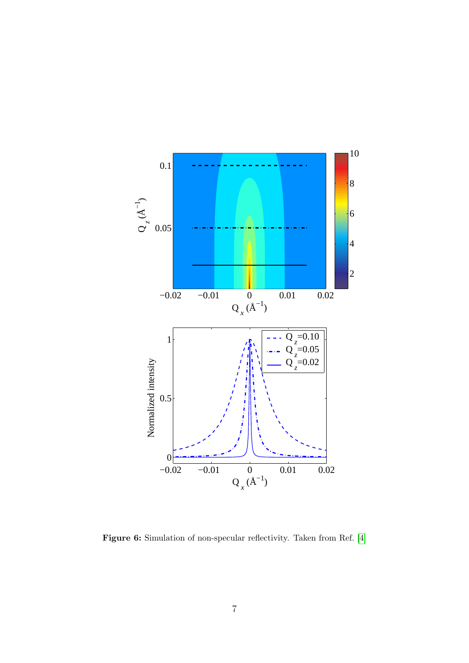

Figure 6: Simulation of non-specular reflectivity. Taken from Ref. [\[4\]](#page-8-0)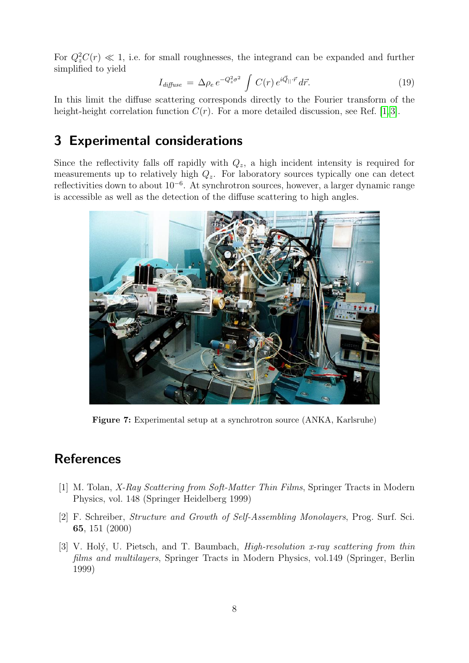For  $Q_z^2C(r) \ll 1$ , i.e. for small roughnesses, the integrand can be expanded and further simplified to yield

$$
I_{\text{diffuse}} = \Delta \rho_e \, e^{-Q_z^2 \sigma^2} \int C(r) \, e^{i \vec{Q}_{||} \cdot \vec{r}} \, d\vec{r}.\tag{19}
$$

In this limit the diffuse scattering corresponds directly to the Fourier transform of the height-height correlation function  $C(r)$ . For a more detailed discussion, see Ref. [\[1,](#page-7-0)3].

### 3 Experimental considerations

Since the reflectivity falls off rapidly with  $Q_z$ , a high incident intensity is required for measurements up to relatively high  $Q_z$ . For laboratory sources typically one can detect reflectivities down to about 10<sup>−</sup><sup>6</sup> . At synchrotron sources, however, a larger dynamic range is accessible as well as the detection of the diffuse scattering to high angles.



Figure 7: Experimental setup at a synchrotron source (ANKA, Karlsruhe)

# **References**

- <span id="page-7-0"></span>[1] M. Tolan, X-Ray Scattering from Soft-Matter Thin Films, Springer Tracts in Modern Physics, vol. 148 (Springer Heidelberg 1999)
- <span id="page-7-1"></span>[2] F. Schreiber, Structure and Growth of Self-Assembling Monolayers, Prog. Surf. Sci. 65, 151 (2000)
- <span id="page-7-2"></span>[3] V. Holý, U. Pietsch, and T. Baumbach,  $High-resolution x-ray scattering from thin$ films and multilayers, Springer Tracts in Modern Physics, vol.149 (Springer, Berlin 1999)